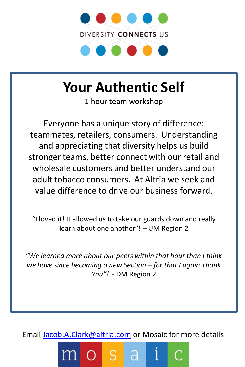

# **Your Authentic Self**

1 hour team workshop

Everyone has a unique story of difference: teammates, retailers, consumers. Understanding and appreciating that diversity helps us build stronger teams, better connect with our retail and wholesale customers and better understand our adult tobacco consumers. At Altria we seek and value difference to drive our business forward.

"I loved it! It allowed us to take our guards down and really learn about one another"! – UM Region 2

*"We learned more about our peers within that hour than I think we have since becoming a new Section – for that I again Thank You"!* - DM Region 2

Email [Jacob.A.Clark@altria.com](mailto:Jacob.A.Clark@altria.com) or Mosaic for more details